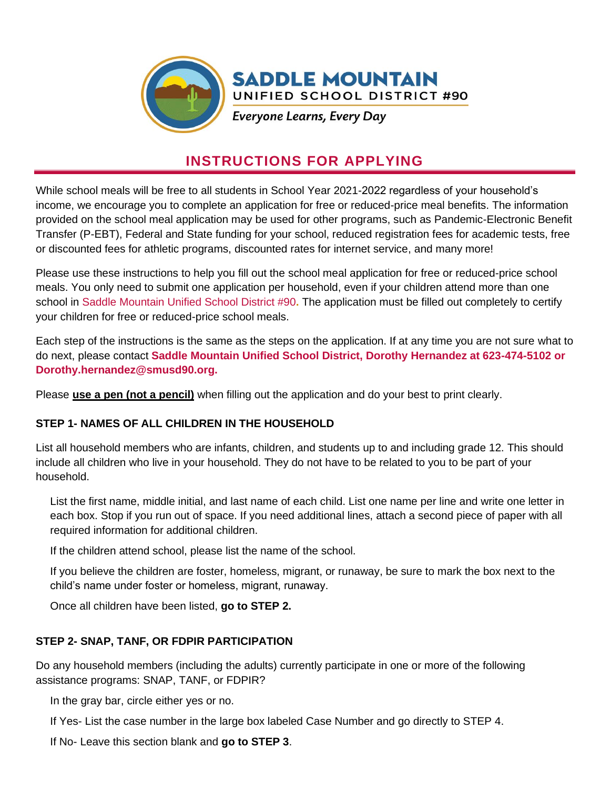

# **INSTRUCTIONS FOR APPLYING**

While school meals will be free to all students in School Year 2021-2022 regardless of your household's income, we encourage you to complete an application for free or reduced-price meal benefits. The information provided on the school meal application may be used for other programs, such as Pandemic-Electronic Benefit Transfer (P-EBT), Federal and State funding for your school, reduced registration fees for academic tests, free or discounted fees for athletic programs, discounted rates for internet service, and many more!

Please use these instructions to help you fill out the school meal application for free or reduced-price school meals. You only need to submit one application per household, even if your children attend more than one school in Saddle Mountain Unified School District #90**.** The application must be filled out completely to certify your children for free or reduced-price school meals.

Each step of the instructions is the same as the steps on the application. If at any time you are not sure what to do next, please contact **Saddle Mountain Unified School District, Dorothy Hernandez at 623-474-5102 or Dorothy.hernandez@smusd90.org.**

Please **use a pen (not a pencil)** when filling out the application and do your best to print clearly.

# **STEP 1- NAMES OF ALL CHILDREN IN THE HOUSEHOLD**

List all household members who are infants, children, and students up to and including grade 12. This should include all children who live in your household. They do not have to be related to you to be part of your household.

List the first name, middle initial, and last name of each child. List one name per line and write one letter in each box. Stop if you run out of space. If you need additional lines, attach a second piece of paper with all required information for additional children.

If the children attend school, please list the name of the school.

If you believe the children are foster, homeless, migrant, or runaway, be sure to mark the box next to the child's name under foster or homeless, migrant, runaway.

Once all children have been listed, **go to STEP 2.** 

# **STEP 2- SNAP, TANF, OR FDPIR PARTICIPATION**

Do any household members (including the adults) currently participate in one or more of the following assistance programs: SNAP, TANF, or FDPIR?

In the gray bar, circle either yes or no.

If Yes- List the case number in the large box labeled Case Number and go directly to STEP 4.

If No- Leave this section blank and **go to STEP 3**.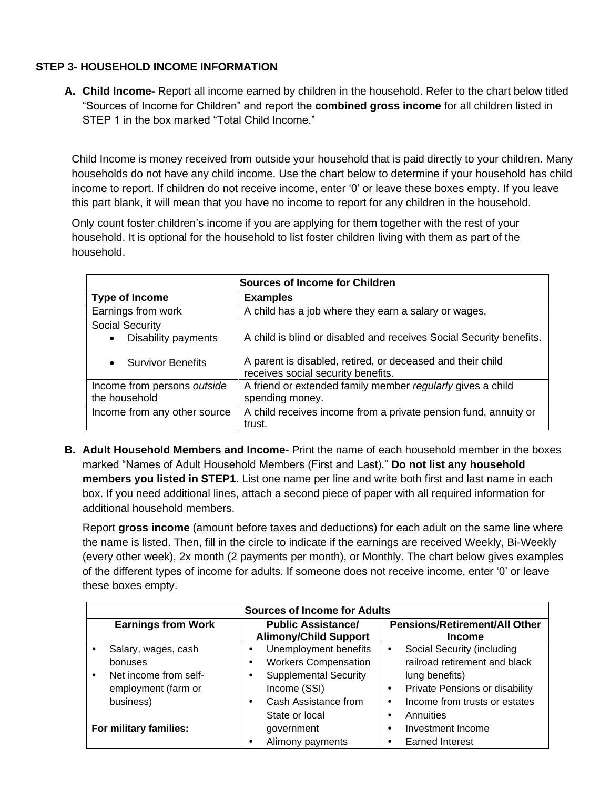# **STEP 3- HOUSEHOLD INCOME INFORMATION**

**A. Child Income-** Report all income earned by children in the household. Refer to the chart below titled "Sources of Income for Children" and report the **combined gross income** for all children listed in STEP 1 in the box marked "Total Child Income."

Child Income is money received from outside your household that is paid directly to your children. Many households do not have any child income. Use the chart below to determine if your household has child income to report. If children do not receive income, enter '0' or leave these boxes empty. If you leave this part blank, it will mean that you have no income to report for any children in the household.

Only count foster children's income if you are applying for them together with the rest of your household. It is optional for the household to list foster children living with them as part of the household.

| <b>Sources of Income for Children</b> |                                                                                                  |  |  |  |  |  |  |
|---------------------------------------|--------------------------------------------------------------------------------------------------|--|--|--|--|--|--|
| Type of Income                        | <b>Examples</b>                                                                                  |  |  |  |  |  |  |
| Earnings from work                    | A child has a job where they earn a salary or wages.                                             |  |  |  |  |  |  |
| Social Security                       | A child is blind or disabled and receives Social Security benefits.                              |  |  |  |  |  |  |
| Disability payments<br>٠              |                                                                                                  |  |  |  |  |  |  |
| <b>Survivor Benefits</b><br>$\bullet$ | A parent is disabled, retired, or deceased and their child<br>receives social security benefits. |  |  |  |  |  |  |
| Income from persons outside           | A friend or extended family member regularly gives a child                                       |  |  |  |  |  |  |
| the household                         | spending money.                                                                                  |  |  |  |  |  |  |
| Income from any other source          | A child receives income from a private pension fund, annuity or<br>trust.                        |  |  |  |  |  |  |

**B. Adult Household Members and Income-** Print the name of each household member in the boxes marked "Names of Adult Household Members (First and Last)." **Do not list any household members you listed in STEP1**. List one name per line and write both first and last name in each box. If you need additional lines, attach a second piece of paper with all required information for additional household members.

Report **gross income** (amount before taxes and deductions) for each adult on the same line where the name is listed. Then, fill in the circle to indicate if the earnings are received Weekly, Bi-Weekly (every other week), 2x month (2 payments per month), or Monthly. The chart below gives examples of the different types of income for adults. If someone does not receive income, enter '0' or leave these boxes empty.

| <b>Sources of Income for Adults</b> |                                                                                             |                                                                                                                                                     |                                                       |                                                                                                                                |  |  |  |  |
|-------------------------------------|---------------------------------------------------------------------------------------------|-----------------------------------------------------------------------------------------------------------------------------------------------------|-------------------------------------------------------|--------------------------------------------------------------------------------------------------------------------------------|--|--|--|--|
| <b>Earnings from Work</b>           |                                                                                             | <b>Public Assistance/</b><br><b>Alimony/Child Support</b>                                                                                           | <b>Pensions/Retirement/All Other</b><br><b>Income</b> |                                                                                                                                |  |  |  |  |
|                                     | Salary, wages, cash<br>bonuses<br>Net income from self-<br>employment (farm or<br>business) | Unemployment benefits<br>٠<br><b>Workers Compensation</b><br><b>Supplemental Security</b><br>Income (SSI)<br>Cash Assistance from<br>State or local | ٠<br>lung benefits)<br>٠<br>٠<br>Annuities<br>٠       | Social Security (including<br>railroad retirement and black<br>Private Pensions or disability<br>Income from trusts or estates |  |  |  |  |
| For military families:              |                                                                                             | government<br>Alimony payments                                                                                                                      | ٠<br><b>Earned Interest</b><br>٠                      | Investment Income                                                                                                              |  |  |  |  |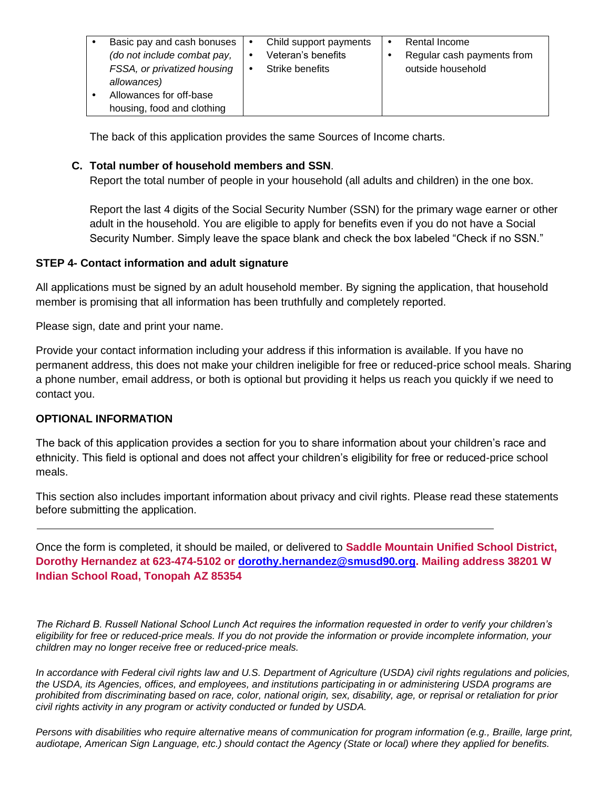|  | Basic pay and cash bonuses<br>(do not include combat pay,<br>FSSA, or privatized housing<br>allowances)<br>Allowances for off-base<br>housing, food and clothing |  | Child support payments<br>Veteran's benefits<br>Strike benefits |  | Rental Income<br>Regular cash payments from<br>outside household |
|--|------------------------------------------------------------------------------------------------------------------------------------------------------------------|--|-----------------------------------------------------------------|--|------------------------------------------------------------------|
|--|------------------------------------------------------------------------------------------------------------------------------------------------------------------|--|-----------------------------------------------------------------|--|------------------------------------------------------------------|

The back of this application provides the same Sources of Income charts.

#### **C. Total number of household members and SSN**.

Report the total number of people in your household (all adults and children) in the one box.

Report the last 4 digits of the Social Security Number (SSN) for the primary wage earner or other adult in the household. You are eligible to apply for benefits even if you do not have a Social Security Number. Simply leave the space blank and check the box labeled "Check if no SSN."

#### **STEP 4- Contact information and adult signature**

All applications must be signed by an adult household member. By signing the application, that household member is promising that all information has been truthfully and completely reported.

Please sign, date and print your name.

Provide your contact information including your address if this information is available. If you have no permanent address, this does not make your children ineligible for free or reduced-price school meals. Sharing a phone number, email address, or both is optional but providing it helps us reach you quickly if we need to contact you.

#### **OPTIONAL INFORMATION**

The back of this application provides a section for you to share information about your children's race and ethnicity. This field is optional and does not affect your children's eligibility for free or reduced-price school meals.

This section also includes important information about privacy and civil rights. Please read these statements before submitting the application.

Once the form is completed, it should be mailed, or delivered to **Saddle Mountain Unified School District, Dorothy Hernandez at 623-474-5102 or [dorothy.hernandez@smusd90.org.](mailto:dorothy.hernandez@smusd90.org) Mailing address 38201 W Indian School Road, Tonopah AZ 85354**

*The Richard B. Russell National School Lunch Act requires the information requested in order to verify your children's eligibility for free or reduced-price meals. If you do not provide the information or provide incomplete information, your children may no longer receive free or reduced-price meals.* 

*In accordance with Federal civil rights law and U.S. Department of Agriculture (USDA) civil rights regulations and policies, the USDA, its Agencies, offices, and employees, and institutions participating in or administering USDA programs are prohibited from discriminating based on race, color, national origin, sex, disability, age, or reprisal or retaliation for prior civil rights activity in any program or activity conducted or funded by USDA.*

*Persons with disabilities who require alternative means of communication for program information (e.g., Braille, large print, audiotape, American Sign Language, etc.) should contact the Agency (State or local) where they applied for benefits.*